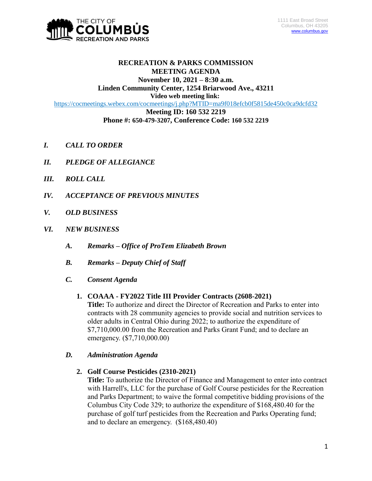

### **RECREATION & PARKS COMMISSION MEETING AGENDA November 10, 2021 – 8:30 a.m.**

# **Linden Community Center, 1254 Briarwood Ave., 43211**

**Video web meeting link:**

<https://cocmeetings.webex.com/cocmeetings/j.php?MTID=ma9f018efcb0f5815de450c0ca9dcfd32>

#### **Meeting ID: 160 532 2219 Phone #: 650-479-3207, Conference Code: 160 532 2219**

- *I. CALL TO ORDER*
- *II. PLEDGE OF ALLEGIANCE*
- *III. ROLL CALL*
- *IV. ACCEPTANCE OF PREVIOUS MINUTES*
- *V. OLD BUSINESS*
- *VI. NEW BUSINESS*
	- *A. Remarks – Office of ProTem Elizabeth Brown*
	- *B. Remarks – Deputy Chief of Staff*
	- *C. Consent Agenda*

### **1. COAAA - FY2022 Title III Provider Contracts (2608-2021)**

**Title:** To authorize and direct the Director of Recreation and Parks to enter into contracts with 28 community agencies to provide social and nutrition services to older adults in Central Ohio during 2022; to authorize the expenditure of \$7,710,000.00 from the Recreation and Parks Grant Fund; and to declare an emergency. (\$7,710,000.00)

### *D. Administration Agenda*

### **2. Golf Course Pesticides (2310-2021)**

**Title:** To authorize the Director of Finance and Management to enter into contract with Harrell's, LLC for the purchase of Golf Course pesticides for the Recreation and Parks Department; to waive the formal competitive bidding provisions of the Columbus City Code 329; to authorize the expenditure of \$168,480.40 for the purchase of golf turf pesticides from the Recreation and Parks Operating fund; and to declare an emergency. (\$168,480.40)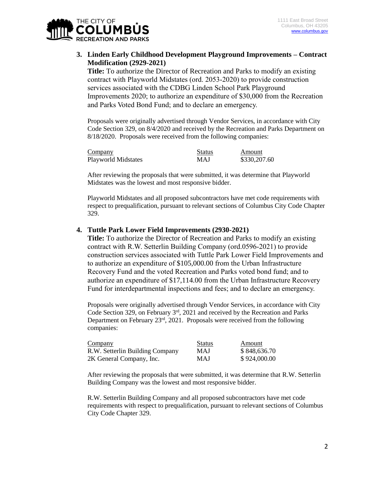

## **3. Linden Early Childhood Development Playground Improvements – Contract Modification (2929-2021)**

**Title:** To authorize the Director of Recreation and Parks to modify an existing contract with Playworld Midstates (ord. 2053-2020) to provide construction services associated with the CDBG Linden School Park Playground Improvements 2020; to authorize an expenditure of \$30,000 from the Recreation and Parks Voted Bond Fund; and to declare an emergency.

Proposals were originally advertised through Vendor Services, in accordance with City Code Section 329, on 8/4/2020 and received by the Recreation and Parks Department on 8/18/2020. Proposals were received from the following companies:

| Company                    | <b>Status</b> | Amount       |
|----------------------------|---------------|--------------|
| <b>Playworld Midstates</b> | MAJ           | \$330,207.60 |

After reviewing the proposals that were submitted, it was determine that Playworld Midstates was the lowest and most responsive bidder.

Playworld Midstates and all proposed subcontractors have met code requirements with respect to prequalification, pursuant to relevant sections of Columbus City Code Chapter 329.

### **4. Tuttle Park Lower Field Improvements (2930-2021)**

**Title:** To authorize the Director of Recreation and Parks to modify an existing contract with R.W. Setterlin Building Company (ord.0596-2021) to provide construction services associated with Tuttle Park Lower Field Improvements and to authorize an expenditure of \$105,000.00 from the Urban Infrastructure Recovery Fund and the voted Recreation and Parks voted bond fund; and to authorize an expenditure of \$17,114.00 from the Urban Infrastructure Recovery Fund for interdepartmental inspections and fees; and to declare an emergency.

Proposals were originally advertised through Vendor Services, in accordance with City Code Section 329, on February 3<sup>rd</sup>, 2021 and received by the Recreation and Parks Department on February 23rd, 2021. Proposals were received from the following companies:

| <u>Company</u>                  | <b>Status</b> | Amount       |
|---------------------------------|---------------|--------------|
| R.W. Setterlin Building Company | MAJ           | \$848,636.70 |
| 2K General Company, Inc.        | MAJ           | \$924,000.00 |

After reviewing the proposals that were submitted, it was determine that R.W. Setterlin Building Company was the lowest and most responsive bidder.

R.W. Setterlin Building Company and all proposed subcontractors have met code requirements with respect to prequalification, pursuant to relevant sections of Columbus City Code Chapter 329.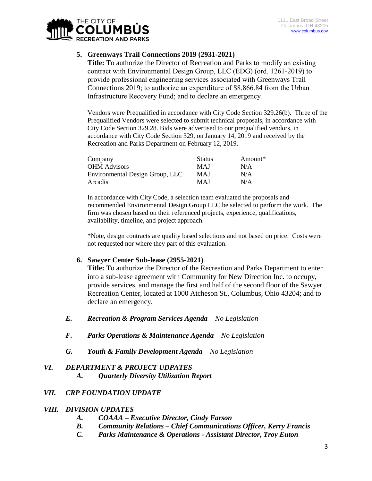

## **5. Greenways Trail Connections 2019 (2931-2021)**

**Title:** To authorize the Director of Recreation and Parks to modify an existing contract with Environmental Design Group, LLC (EDG) (ord. 1261-2019) to provide professional engineering services associated with Greenways Trail Connections 2019; to authorize an expenditure of \$8,866.84 from the Urban Infrastructure Recovery Fund; and to declare an emergency.

Vendors were Prequalified in accordance with City Code Section 329.26(b). Three of the Prequalified Vendors were selected to submit technical proposals, in accordance with City Code Section 329.28. Bids were advertised to our prequalified vendors, in accordance with City Code Section 329, on January 14, 2019 and received by the Recreation and Parks Department on February 12, 2019.

| Company                         | <b>Status</b> | Amount* |
|---------------------------------|---------------|---------|
| <b>OHM</b> Advisors             | <b>MAJ</b>    | N/A     |
| Environmental Design Group, LLC | MAJ           | N/A     |
| Arcadis                         | <b>MAJ</b>    | N/A     |

In accordance with City Code, a selection team evaluated the proposals and recommended Environmental Design Group LLC be selected to perform the work. The firm was chosen based on their referenced projects, experience, qualifications, availability, timeline, and project approach.

\*Note, design contracts are quality based selections and not based on price. Costs were not requested nor where they part of this evaluation.

### **6. Sawyer Center Sub-lease (2955-2021)**

**Title:** To authorize the Director of the Recreation and Parks Department to enter into a sub-lease agreement with Community for New Direction Inc. to occupy, provide services, and manage the first and half of the second floor of the Sawyer Recreation Center, located at 1000 Atcheson St., Columbus, Ohio 43204; and to declare an emergency.

- *E. Recreation & Program Services Agenda – No Legislation*
- *F. Parks Operations & Maintenance Agenda – No Legislation*
- *G. Youth & Family Development Agenda – No Legislation*

### *VI. DEPARTMENT & PROJECT UDPATES*

*A. Quarterly Diversity Utilization Report*

### *VII. CRP FOUNDATION UPDATE*

### *VIII. DIVISION UPDATES*

- *A. COAAA – Executive Director, Cindy Farson*
- *B. Community Relations – Chief Communications Officer, Kerry Francis*
- *C. Parks Maintenance & Operations - Assistant Director, Troy Euton*